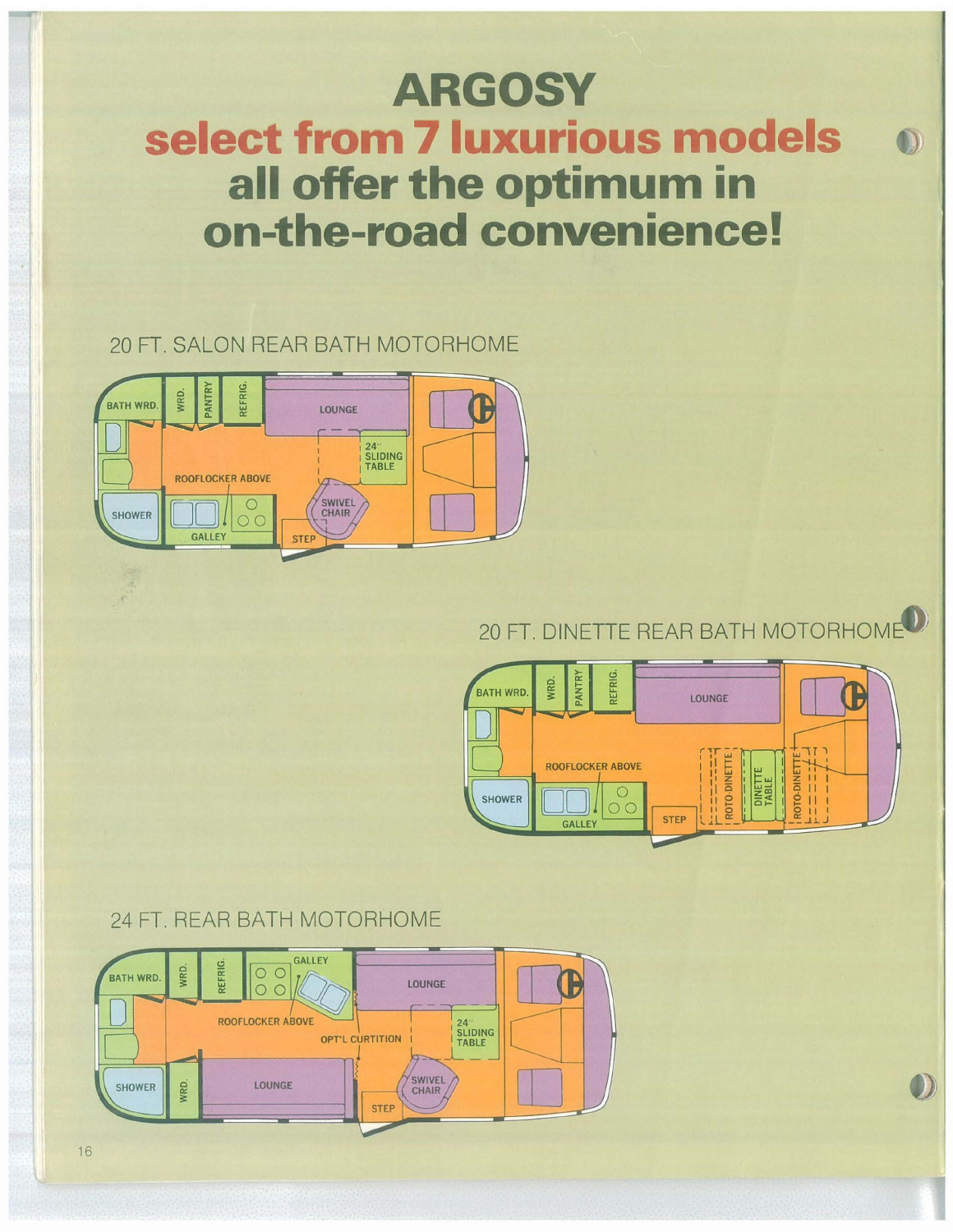# **ARGOSY** select from 7 luxurious models all offer the optimum in on-the-road convenience!

# 20 FT. SALON REAR BATH MOTORHOME



# 20 FT. DINETTE REAR BATH MOTORHOME<sup>O</sup>



# 24 FT, REAR BATH MOTORHOME